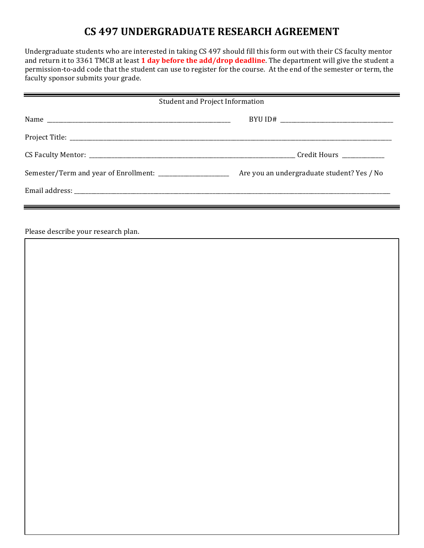## **CS 497 UNDERGRADUATE RESEARCH AGREEMENT**

Undergraduate students who are interested in taking CS 497 should fill this form out with their CS faculty mentor and return it to 3361 TMCB at least 1 day before the add/drop deadline. The department will give the student a permission-to-add code that the student can use to register for the course. At the end of the semester or term, the faculty sponsor submits your grade.

| Student and Project Information                              |                                            |
|--------------------------------------------------------------|--------------------------------------------|
|                                                              |                                            |
|                                                              |                                            |
|                                                              |                                            |
| Semester/Term and year of Enrollment: ______________________ | Are you an undergraduate student? Yes / No |
|                                                              |                                            |

Please describe your research plan.